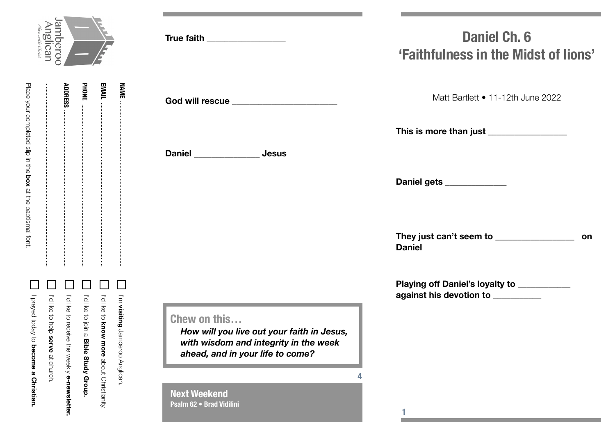

|                                                            | I I'd like to receive the weekiye-newslett |
|------------------------------------------------------------|--------------------------------------------|
| ADDRESS                                                    | I'd like at chelp serve at church.         |
| Place your completed sire in the box at the paptismal fort | I Diayed today to become a Christian.      |

| mheroc                                             |                       |                       | True faith <b>True faith</b>                                                                                                            | <b>Daniel Ch. 6</b><br>'Faithfulness in the Midst of lions'                      |  |
|----------------------------------------------------|-----------------------|-----------------------|-----------------------------------------------------------------------------------------------------------------------------------------|----------------------------------------------------------------------------------|--|
| <b>ADDRESS</b><br><b>PHONE</b>                     | <b>EMAIL</b>          | <b>NAME</b>           | God will rescue _______________________                                                                                                 | Matt Bartlett • 11-12th June 2022                                                |  |
|                                                    |                       |                       |                                                                                                                                         | This is more than just __________________                                        |  |
|                                                    |                       |                       | Daniel _______________ Jesus                                                                                                            |                                                                                  |  |
|                                                    |                       |                       |                                                                                                                                         | Daniel gets _____________                                                        |  |
|                                                    |                       |                       |                                                                                                                                         | <b>Daniel</b>                                                                    |  |
|                                                    |                       |                       |                                                                                                                                         | Playing off Daniel's loyalty to __________<br>against his devotion to __________ |  |
| I'd like to receive the<br>l'dilke to join a Bible | I'd like to know more | I'm visiting Jamberoo | Chew on this<br>How will you live out your faith in Jesus,<br>with wisdom and integrity in the week<br>ahead, and in your life to come? |                                                                                  |  |
| weekly e-newsletter.<br>Study Group                | about Christianity.   | Anglican.             | <b>Next Weekend</b><br>Psalm 62 . Brad Vidilini                                                                                         |                                                                                  |  |